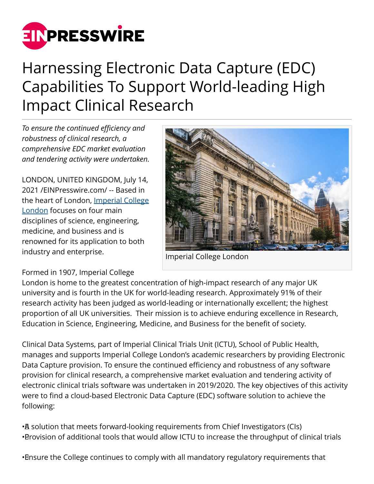

# Harnessing Electronic Data Capture (EDC) Capabilities To Support World-leading High Impact Clinical Research

*To ensure the continued efficiency and robustness of clinical research, a comprehensive EDC market evaluation and tendering activity were undertaken.*

LONDON, UNITED KINGDOM, July 14, 2021 /[EINPresswire.com](http://www.einpresswire.com)/ -- Based in the heart of London, [Imperial College](http://www.imperial.ac.uk/) [London](http://www.imperial.ac.uk/) focuses on four main disciplines of science, engineering, medicine, and business and is renowned for its application to both industry and enterprise.



Imperial College London

Formed in 1907, Imperial College

London is home to the greatest concentration of high-impact research of any major UK university and is fourth in the UK for world-leading research. Approximately 91% of their research activity has been judged as world-leading or internationally excellent; the highest proportion of all UK universities. Their mission is to achieve enduring excellence in Research, Education in Science, Engineering, Medicine, and Business for the benefit of society.

Clinical Data Systems, part of Imperial Clinical Trials Unit (ICTU), School of Public Health, manages and supports Imperial College London's academic researchers by providing Electronic Data Capture provision. To ensure the continued efficiency and robustness of any software provision for clinical research, a comprehensive market evaluation and tendering activity of electronic clinical trials software was undertaken in 2019/2020. The key objectives of this activity were to find a cloud-based Electronic Data Capture (EDC) software solution to achieve the following:

• A solution that meets forward-looking requirements from Chief Investigators (CIs) • Brovision of additional tools that would allow ICTU to increase the throughput of clinical trials

• Ensure the College continues to comply with all mandatory regulatory requirements that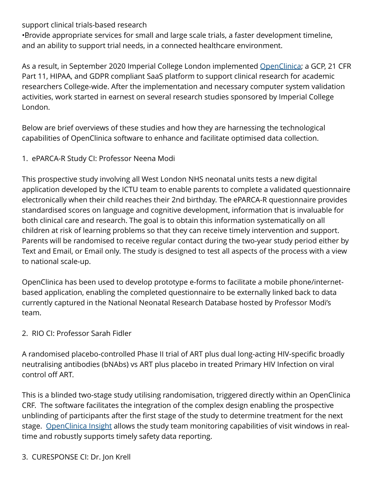### support clinical trials-based research

• Provide appropriate services for small and large scale trials, a faster development timeline, and an ability to support trial needs, in a connected healthcare environment.

As a result, in September 2020 Imperial College London implemented [OpenClinica](https://www.openclinica.com/); a GCP, 21 CFR Part 11, HIPAA, and GDPR compliant SaaS platform to support clinical research for academic researchers College-wide. After the implementation and necessary computer system validation activities, work started in earnest on several research studies sponsored by Imperial College London.

Below are brief overviews of these studies and how they are harnessing the technological capabilities of OpenClinica software to enhance and facilitate optimised data collection.

#### 1. ePARCA-R Study CI: Professor Neena Modi

This prospective study involving all West London NHS neonatal units tests a new digital application developed by the ICTU team to enable parents to complete a validated questionnaire electronically when their child reaches their 2nd birthday. The ePARCA-R questionnaire provides standardised scores on language and cognitive development, information that is invaluable for both clinical care and research. The goal is to obtain this information systematically on all children at risk of learning problems so that they can receive timely intervention and support. Parents will be randomised to receive regular contact during the two-year study period either by Text and Email, or Email only. The study is designed to test all aspects of the process with a view to national scale-up.

OpenClinica has been used to develop prototype e-forms to facilitate a mobile phone/internetbased application, enabling the completed questionnaire to be externally linked back to data currently captured in the National Neonatal Research Database hosted by Professor Modi's team.

#### 2. RIO CI: Professor Sarah Fidler

A randomised placebo-controlled Phase II trial of ART plus dual long-acting HIV-specific broadly neutralising antibodies (bNAbs) vs ART plus placebo in treated Primary HIV Infection on viral control off ART.

This is a blinded two-stage study utilising randomisation, triggered directly within an OpenClinica CRF. The software facilitates the integration of the complex design enabling the prospective unblinding of participants after the first stage of the study to determine treatment for the next stage. [OpenClinica Insight](https://www.openclinica.com/insight/) allows the study team monitoring capabilities of visit windows in realtime and robustly supports timely safety data reporting.

## 3. CURESPONSE CI: Dr. Jon Krell